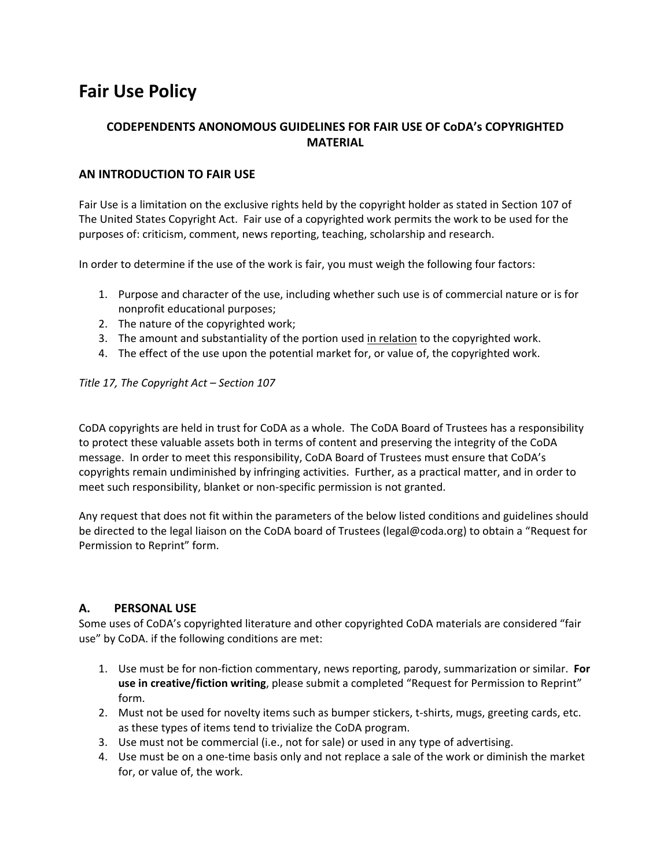# **Fair Use Policy**

# **CODEPENDENTS ANONOMOUS GUIDELINES FOR FAIR USE OF CoDA's COPYRIGHTED MATERIAL**

## **AN INTRODUCTION TO FAIR USE**

Fair Use is a limitation on the exclusive rights held by the copyright holder as stated in Section 107 of The United States Copyright Act. Fair use of a copyrighted work permits the work to be used for the purposes of: criticism, comment, news reporting, teaching, scholarship and research.

In order to determine if the use of the work is fair, you must weigh the following four factors:

- 1. Purpose and character of the use, including whether such use is of commercial nature or is for nonprofit educational purposes;
- 2. The nature of the copyrighted work;
- 3. The amount and substantiality of the portion used in relation to the copyrighted work.
- 4. The effect of the use upon the potential market for, or value of, the copyrighted work.

*Title 17, The Copyright Act – Section 107* 

CoDA copyrights are held in trust for CoDA as a whole. The CoDA Board of Trustees has a responsibility to protect these valuable assets both in terms of content and preserving the integrity of the CoDA message. In order to meet this responsibility, CoDA Board of Trustees must ensure that CoDA's copyrights remain undiminished by infringing activities. Further, as a practical matter, and in order to meet such responsibility, blanket or non‐specific permission is not granted.

Any request that does not fit within the parameters of the below listed conditions and guidelines should be directed to the legal liaison on the CoDA board of Trustees (legal@coda.org) to obtain a "Request for Permission to Reprint" form.

## **A. PERSONAL USE**

Some uses of CoDA's copyrighted literature and other copyrighted CoDA materials are considered "fair use" by CoDA. if the following conditions are met:

- 1. Use must be for non‐fiction commentary, news reporting, parody, summarization or similar. **For use in creative/fiction writing**, please submit a completed "Request for Permission to Reprint" form.
- 2. Must not be used for novelty items such as bumper stickers, t-shirts, mugs, greeting cards, etc. as these types of items tend to trivialize the CoDA program.
- 3. Use must not be commercial (i.e., not for sale) or used in any type of advertising.
- 4. Use must be on a one-time basis only and not replace a sale of the work or diminish the market for, or value of, the work.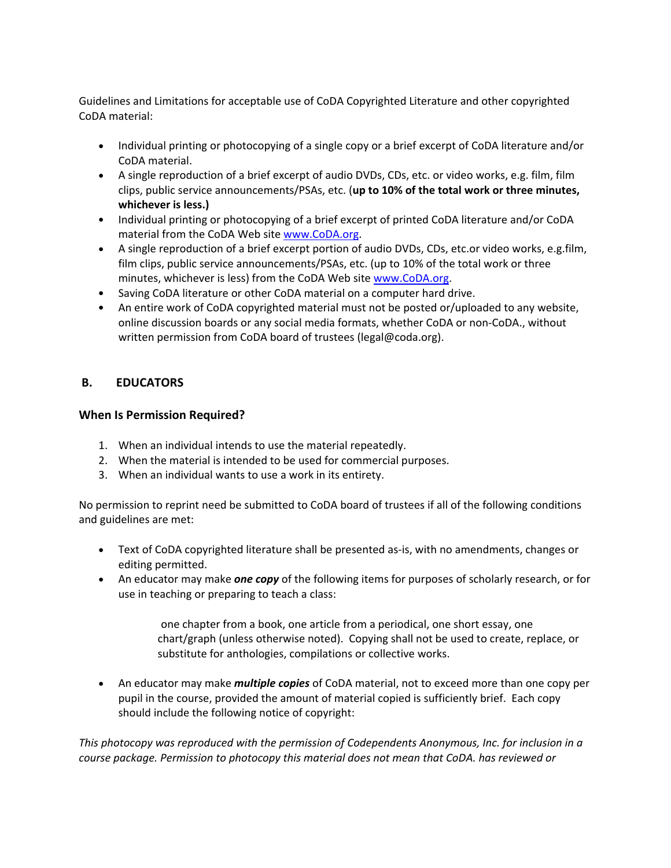Guidelines and Limitations for acceptable use of CoDA Copyrighted Literature and other copyrighted CoDA material:

- Individual printing or photocopying of a single copy or a brief excerpt of CoDA literature and/or CoDA material.
- A single reproduction of a brief excerpt of audio DVDs, CDs, etc. or video works, e.g. film, film clips, public service announcements/PSAs, etc. (**up to 10% of the total work or three minutes, whichever is less.)**
- Individual printing or photocopying of a brief excerpt of printed CoDA literature and/or CoDA material from the CoDA Web site www.CoDA.org.
- A single reproduction of a brief excerpt portion of audio DVDs, CDs, etc.or video works, e.g.film, film clips, public service announcements/PSAs, etc. (up to 10% of the total work or three minutes, whichever is less) from the CoDA Web site www.CoDA.org.
- Saving CoDA literature or other CoDA material on a computer hard drive.
- An entire work of CoDA copyrighted material must not be posted or/uploaded to any website, online discussion boards or any social media formats, whether CoDA or non‐CoDA., without written permission from CoDA board of trustees (legal@coda.org).

## **B. EDUCATORS**

## **When Is Permission Required?**

- 1. When an individual intends to use the material repeatedly.
- 2. When the material is intended to be used for commercial purposes.
- 3. When an individual wants to use a work in its entirety.

No permission to reprint need be submitted to CoDA board of trustees if all of the following conditions and guidelines are met:

- Text of CoDA copyrighted literature shall be presented as-is, with no amendments, changes or editing permitted.
- An educator may make *one copy* of the following items for purposes of scholarly research, or for use in teaching or preparing to teach a class:

one chapter from a book, one article from a periodical, one short essay, one chart/graph (unless otherwise noted). Copying shall not be used to create, replace, or substitute for anthologies, compilations or collective works.

 An educator may make *multiple copies* of CoDA material, not to exceed more than one copy per pupil in the course, provided the amount of material copied is sufficiently brief. Each copy should include the following notice of copyright:

*This photocopy was reproduced with the permission of Codependents Anonymous, Inc. for inclusion in a course package. Permission to photocopy this material does not mean that CoDA. has reviewed or*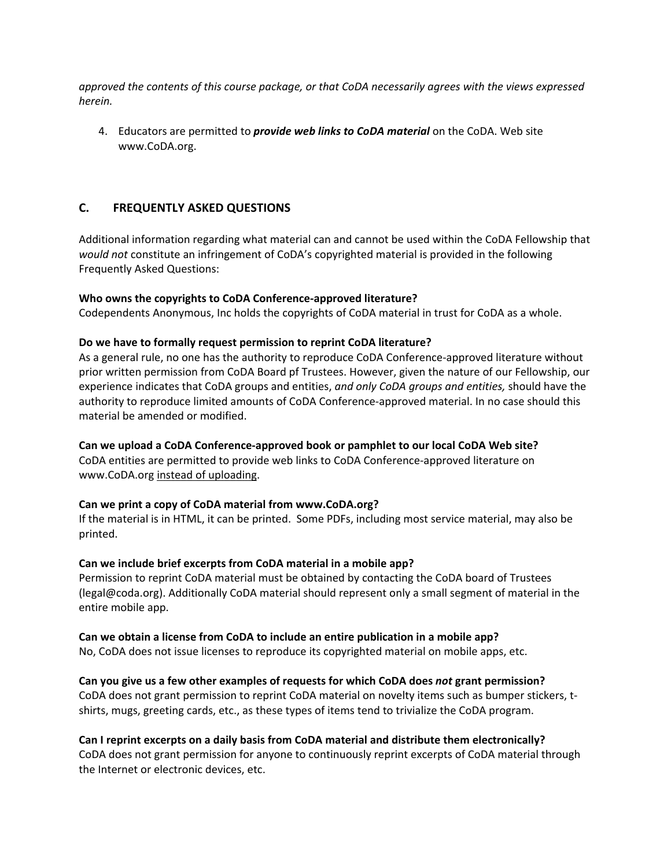*approved the contents of this course package, or that CoDA necessarily agrees with the views expressed herein.* 

4. Educators are permitted to *provide web links to CoDA material* on the CoDA. Web site www.CoDA.org.

## **C. FREQUENTLY ASKED QUESTIONS**

Additional information regarding what material can and cannot be used within the CoDA Fellowship that *would not* constitute an infringement of CoDA's copyrighted material is provided in the following Frequently Asked Questions:

### **Who owns the copyrights to CoDA Conference‐approved literature?**

Codependents Anonymous, Inc holds the copyrights of CoDA material in trust for CoDA as a whole.

### **Do we have to formally request permission to reprint CoDA literature?**

As a general rule, no one has the authority to reproduce CoDA Conference-approved literature without prior written permission from CoDA Board pf Trustees. However, given the nature of our Fellowship, our experience indicates that CoDA groups and entities, *and only CoDA groups and entities,* should have the authority to reproduce limited amounts of CoDA Conference‐approved material. In no case should this material be amended or modified.

### **Can we upload a CoDA Conference‐approved book or pamphlet to our local CoDA Web site?**

CoDA entities are permitted to provide web links to CoDA Conference‐approved literature on www.CoDA.org instead of uploading.

### **Can we print a copy of CoDA material from www.CoDA.org?**

If the material is in HTML, it can be printed. Some PDFs, including most service material, may also be printed.

### **Can we include brief excerpts from CoDA material in a mobile app?**

Permission to reprint CoDA material must be obtained by contacting the CoDA board of Trustees (legal@coda.org). Additionally CoDA material should represent only a small segment of material in the entire mobile app.

### **Can we obtain a license from CoDA to include an entire publication in a mobile app?**

No, CoDA does not issue licenses to reproduce its copyrighted material on mobile apps, etc.

### **Can you give us a few other examples of requests for which CoDA does** *not* **grant permission?**

CoDA does not grant permission to reprint CoDA material on novelty items such as bumper stickers, t‐ shirts, mugs, greeting cards, etc., as these types of items tend to trivialize the CoDA program.

### **Can I reprint excerpts on a daily basis from CoDA material and distribute them electronically?**

CoDA does not grant permission for anyone to continuously reprint excerpts of CoDA material through the Internet or electronic devices, etc.